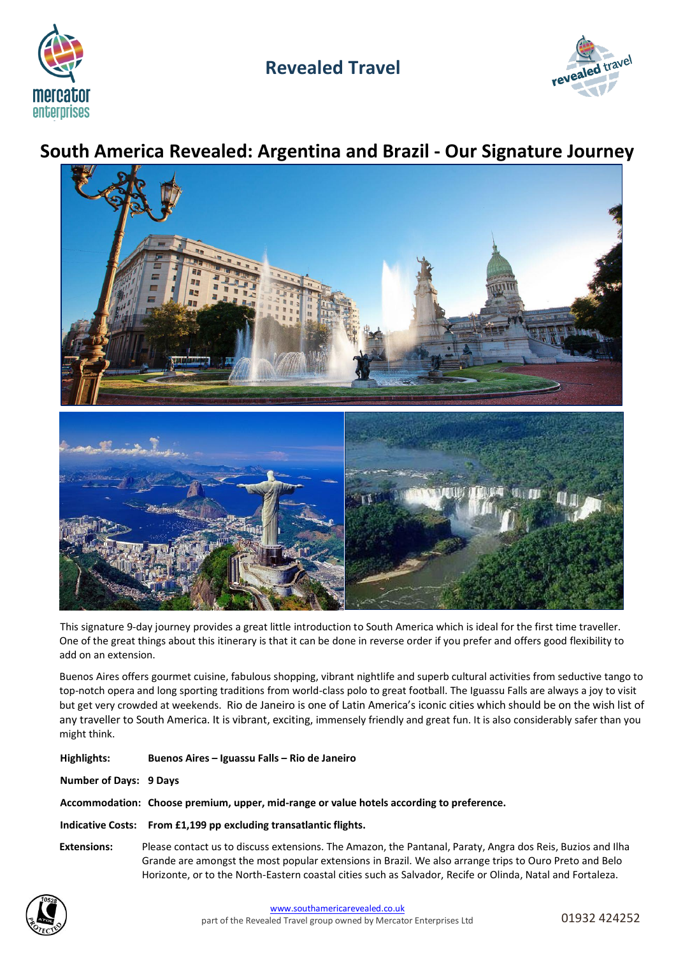

# **Revealed Travel**



# **South America Revealed: Argentina and Brazil - Our Signature Journey**



This signature 9-day journey provides a great little introduction to South America which is ideal for the first time traveller. One of the great things about this itinerary is that it can be done in reverse order if you prefer and offers good flexibility to add on an extension.

Buenos Aires offers gourmet cuisine, fabulous shopping, vibrant nightlife and superb cultural activities from seductive tango to top-notch opera and long sporting traditions from world-class polo to great football. The Iguassu Falls are always a joy to visit but get very crowded at weekends. Rio de Janeiro is one of Latin America's iconic cities which should be on the wish list of any traveller to South America. It is vibrant, exciting, immensely friendly and great fun. It is also considerably safer than you might think.

| Highlights:            | Buenos Aires – Iguassu Falls – Rio de Janeiro                                                                                                                                                                                                                                                                                      |
|------------------------|------------------------------------------------------------------------------------------------------------------------------------------------------------------------------------------------------------------------------------------------------------------------------------------------------------------------------------|
| Number of Days: 9 Days |                                                                                                                                                                                                                                                                                                                                    |
|                        | Accommodation: Choose premium, upper, mid-range or value hotels according to preference.                                                                                                                                                                                                                                           |
|                        | Indicative Costs: From £1,199 pp excluding transatlantic flights.                                                                                                                                                                                                                                                                  |
| <b>Extensions:</b>     | Please contact us to discuss extensions. The Amazon, the Pantanal, Paraty, Angra dos Reis, Buzios and Ilha<br>Grande are amongst the most popular extensions in Brazil. We also arrange trips to Ouro Preto and Belo<br>Horizonte, or to the North-Eastern coastal cities such as Salvador, Recife or Olinda, Natal and Fortaleza. |

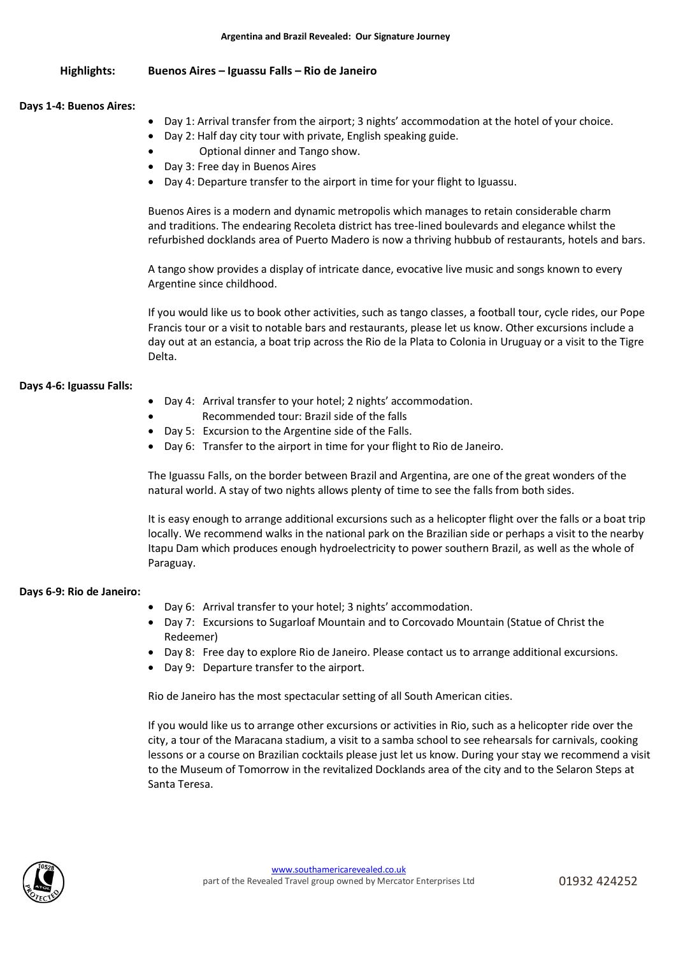# **Highlights: Buenos Aires – Iguassu Falls – Rio de Janeiro**

# **Days 1-4: Buenos Aires:**

- Day 1: Arrival transfer from the airport; 3 nights' accommodation at the hotel of your choice.
	- Day 2: Half day city tour with private, English speaking guide.
- Optional dinner and Tango show.
- Day 3: Free day in Buenos Aires
- Day 4: Departure transfer to the airport in time for your flight to Iguassu.

Buenos Aires is a modern and dynamic metropolis which manages to retain considerable charm and traditions. The endearing Recoleta district has tree-lined boulevards and elegance whilst the refurbished docklands area of Puerto Madero is now a thriving hubbub of restaurants, hotels and bars.

A tango show provides a display of intricate dance, evocative live music and songs known to every Argentine since childhood.

If you would like us to book other activities, such as tango classes, a football tour, cycle rides, our Pope Francis tour or a visit to notable bars and restaurants, please let us know. Other excursions include a day out at an estancia, a boat trip across the Rio de la Plata to Colonia in Uruguay or a visit to the Tigre Delta.

# **Days 4-6: Iguassu Falls:**

- Day 4: Arrival transfer to your hotel; 2 nights' accommodation.
- Recommended tour: Brazil side of the falls
- Day 5: Excursion to the Argentine side of the Falls.
- Day 6: Transfer to the airport in time for your flight to Rio de Janeiro.

The Iguassu Falls, on the border between Brazil and Argentina, are one of the great wonders of the natural world. A stay of two nights allows plenty of time to see the falls from both sides.

It is easy enough to arrange additional excursions such as a helicopter flight over the falls or a boat trip locally. We recommend walks in the national park on the Brazilian side or perhaps a visit to the nearby Itapu Dam which produces enough hydroelectricity to power southern Brazil, as well as the whole of Paraguay.

# **Days 6-9: Rio de Janeiro:**

- Day 6: Arrival transfer to your hotel; 3 nights' accommodation.
- Day 7: Excursions to Sugarloaf Mountain and to Corcovado Mountain (Statue of Christ the Redeemer)
- Day 8: Free day to explore Rio de Janeiro. Please contact us to arrange additional excursions.
- Day 9: Departure transfer to the airport.

Rio de Janeiro has the most spectacular setting of all South American cities.

If you would like us to arrange other excursions or activities in Rio, such as a helicopter ride over the city, a tour of the Maracana stadium, a visit to a samba school to see rehearsals for carnivals, cooking lessons or a course on Brazilian cocktails please just let us know. During your stay we recommend a visit to the Museum of Tomorrow in the revitalized Docklands area of the city and to the Selaron Steps at Santa Teresa.